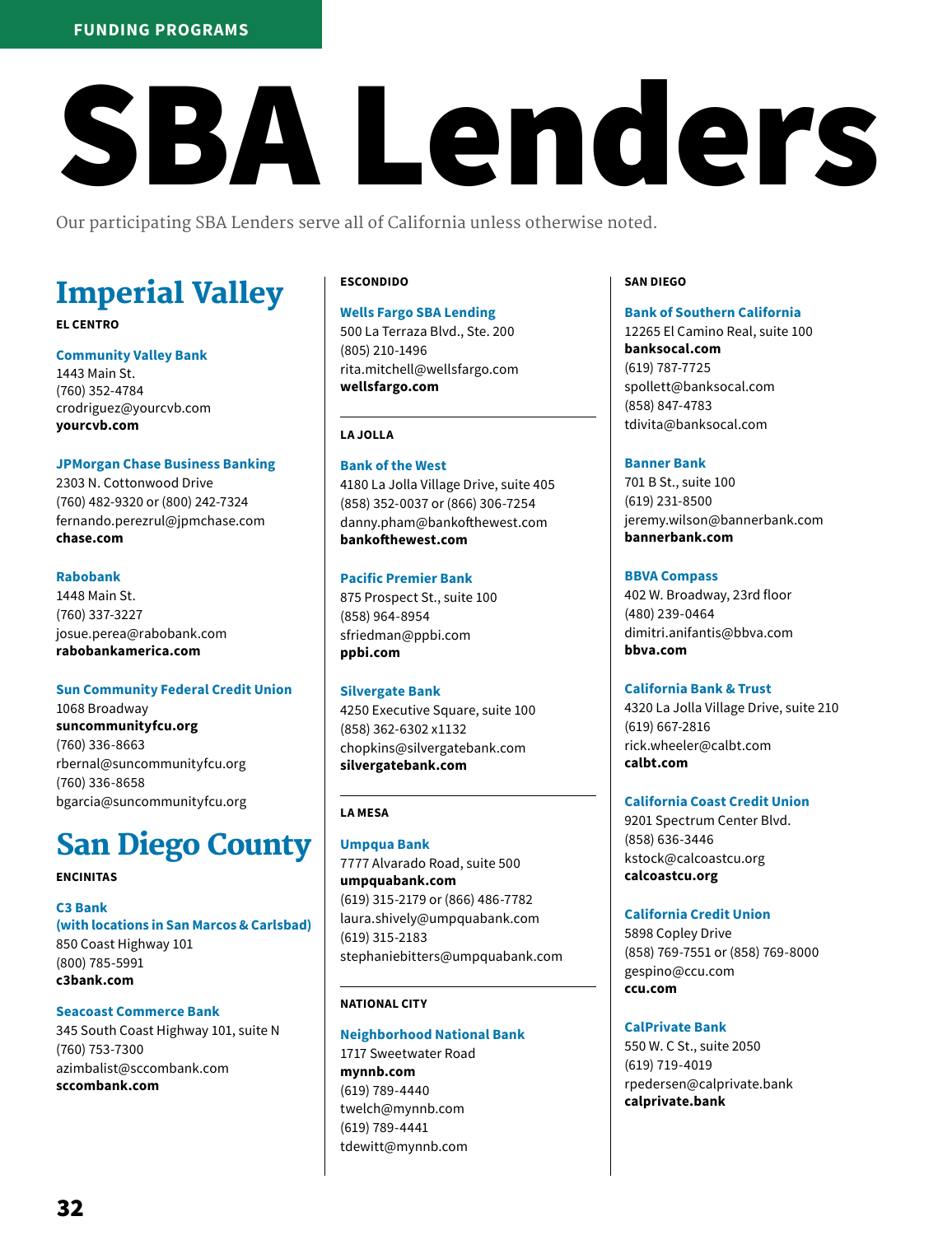# **FUNDING PROGRAMS**

# SBA Lenders

Our participating SBA Lenders serve all of California unless otherwise noted.

# Imperial Valley

# **EL CENTRO**

**Community Valley Bank** 1443 Main St. (760) 352-4784 crodriguez@yourcvb.com **yourcvb.com**

# **JPMorgan Chase Business Banking**

2303 N. Cottonwood Drive (760) 482-9320 or (800) 242-7324 fernando.perezrul@jpmchase.com **chase.com**

### **Rabobank**

1448 Main St. (760) 337-3227 josue.perea@rabobank.com **rabobankamerica.com**

# **Sun Community Federal Credit Union**

1068 Broadway **suncommunityfcu.org** (760) 336-8663 rbernal@suncommunityfcu.org (760) 336-8658 bgarcia@suncommunityfcu.org

# San Diego County

**ENCINITAS**

**C3 Bank (with locations in San Marcos & Carlsbad)** 850 Coast Highway 101 (800) 785-5991 **c3bank.com** 

**Seacoast Commerce Bank** 345 South Coast Highway 101, suite N (760) 753-7300 azimbalist@sccombank.com **sccombank.com**

# **ESCONDIDO**

#### **Wells Fargo SBA Lending**

500 La Terraza Blvd., Ste. 200 (805) 210-1496 rita.mitchell@wellsfargo.com **wellsfargo.com**

#### **LA JOLLA**

**Bank of the West** 4180 La Jolla Village Drive, suite 405 (858) 352-0037 or (866) 306-7254 danny.pham@bankofthewest.com **bankofthewest.com**

#### **Pacific Premier Bank**

875 Prospect St., suite 100 (858) 964-8954 sfriedman@ppbi.com **ppbi.com**

#### **Silvergate Bank**

4250 Executive Square, suite 100 (858) 362-6302 x1132 chopkins@silvergatebank.com **silvergatebank.com**

# **LA MESA**

**Umpqua Bank** 7777 Alvarado Road, suite 500 **umpquabank.com** (619) 315-2179 or (866) 486-7782 laura.shively@umpquabank.com (619) 315-2183 stephaniebitters@umpquabank.com

#### **NATIONAL CITY**

# **Neighborhood National Bank** 1717 Sweetwater Road

**mynnb.com** (619) 789-4440 twelch@mynnb.com (619) 789-4441 tdewitt@mynnb.com

#### **SAN DIEGO**

**Bank of Southern California** 12265 El Camino Real, suite 100 **banksocal.com** (619) 787-7725 spollett@banksocal.com (858) 847-4783 tdivita@banksocal.com

# **Banner Bank**

701 B St., suite 100 (619) 231-8500 jeremy.wilson@bannerbank.com **bannerbank.com**

# **BBVA Compass**

402 W. Broadway, 23rd floor (480) 239-0464 dimitri.anifantis@bbva.com **bbva.com**

# **California Bank & Trust**

4320 La Jolla Village Drive, suite 210 (619) 667-2816 rick.wheeler@calbt.com **calbt.com**

#### **California Coast Credit Union**

9201 Spectrum Center Blvd. (858) 636-3446 kstock@calcoastcu.org **calcoastcu.org**

# **California Credit Union**

5898 Copley Drive (858) 769-7551 or (858) 769-8000 gespino@ccu.com **ccu.com**

# **CalPrivate Bank**

550 W. C St., suite 2050 (619) 719-4019 rpedersen@calprivate.bank **calprivate.bank**